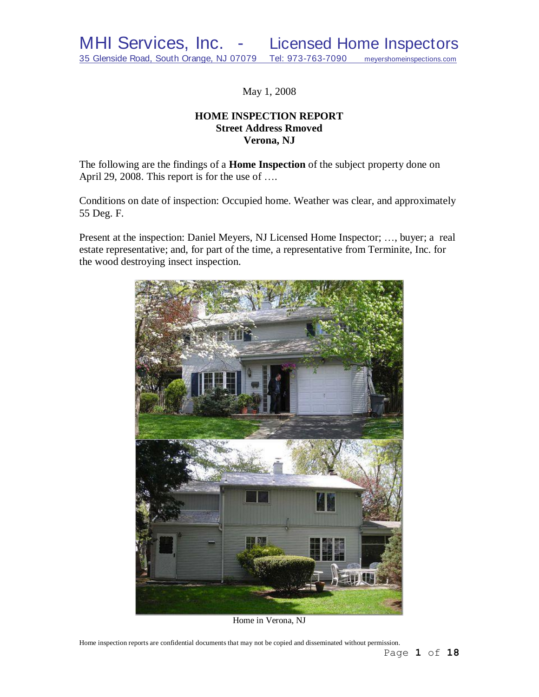May 1, 2008

# **HOME INSPECTION REPORT Street Address Rmoved Verona, NJ**

The following are the findings of a **Home Inspection** of the subject property done on April 29, 2008. This report is for the use of ....

Conditions on date of inspection: Occupied home. Weather was clear, and approximately 55 Deg. F.

Present at the inspection: Daniel Meyers, NJ Licensed Home Inspector; …, buyer; a real estate representative; and, for part of the time, a representative from Terminite, Inc. for the wood destroying insect inspection.



Home in Verona, NJ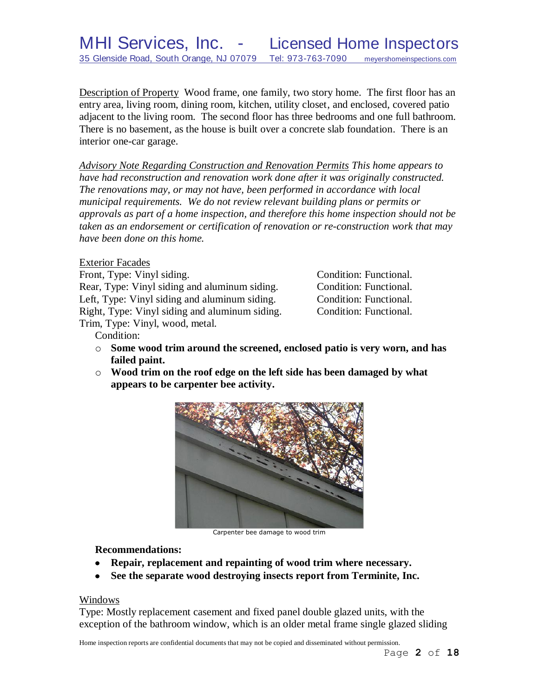MHI Services, Inc. - Licensed Home Inspectors 35 Glenside Road, South Orange, NJ 07079 Tel: 973-763-7090 meyershomeinspections.com

Description of Property Wood frame, one family, two story home. The first floor has an entry area, living room, dining room, kitchen, utility closet, and enclosed, covered patio adjacent to the living room. The second floor has three bedrooms and one full bathroom. There is no basement, as the house is built over a concrete slab foundation. There is an interior one-car garage.

*Advisory Note Regarding Construction and Renovation Permits This home appears to have had reconstruction and renovation work done after it was originally constructed. The renovations may, or may not have, been performed in accordance with local municipal requirements. We do not review relevant building plans or permits or approvals as part of a home inspection, and therefore this home inspection should not be taken as an endorsement or certification of renovation or re-construction work that may have been done on this home.*

Exterior Facades

Front, Type: Vinyl siding. The condition: Functional. Rear, Type: Vinyl siding and aluminum siding. Condition: Functional. Left, Type: Vinyl siding and aluminum siding. Condition: Functional. Right, Type: Vinyl siding and aluminum siding. Condition: Functional. Trim, Type: Vinyl, wood, metal.

Condition:

- o **Some wood trim around the screened, enclosed patio is very worn, and has failed paint.**
- o **Wood trim on the roof edge on the left side has been damaged by what appears to be carpenter bee activity.**



Carpenter bee damage to wood trim

**Recommendations:**

- **Repair, replacement and repainting of wood trim where necessary.**  $\bullet$
- **See the separate wood destroying insects report from Terminite, Inc.**

#### Windows

Type: Mostly replacement casement and fixed panel double glazed units, with the exception of the bathroom window, which is an older metal frame single glazed sliding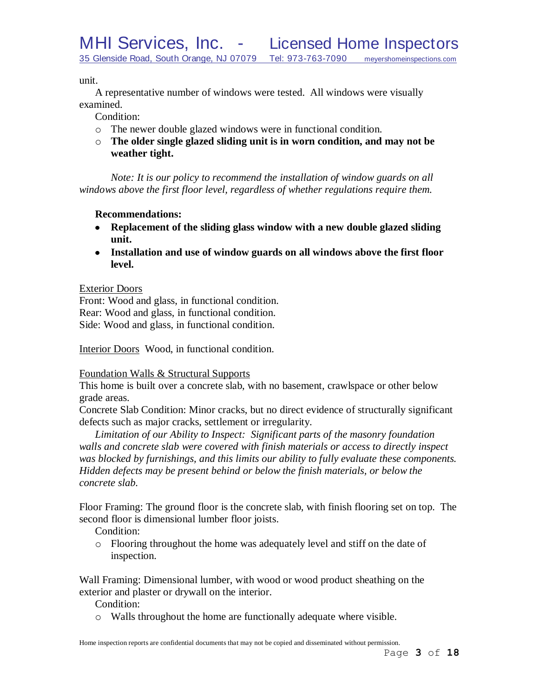unit.

A representative number of windows were tested. All windows were visually examined.

Condition:

- o The newer double glazed windows were in functional condition.
- o **The older single glazed sliding unit is in worn condition, and may not be weather tight.**

*Note: It is our policy to recommend the installation of window guards on all windows above the first floor level, regardless of whether regulations require them.*

# **Recommendations:**

- **Replacement of the sliding glass window with a new double glazed sliding unit.**
- **Installation and use of window guards on all windows above the first floor level.**

# Exterior Doors

Front: Wood and glass, in functional condition. Rear: Wood and glass, in functional condition. Side: Wood and glass, in functional condition.

Interior Doors Wood, in functional condition.

# Foundation Walls & Structural Supports

This home is built over a concrete slab, with no basement, crawlspace or other below grade areas.

Concrete Slab Condition: Minor cracks, but no direct evidence of structurally significant defects such as major cracks, settlement or irregularity.

*Limitation of our Ability to Inspect: Significant parts of the masonry foundation walls and concrete slab were covered with finish materials or access to directly inspect was blocked by furnishings, and this limits our ability to fully evaluate these components. Hidden defects may be present behind or below the finish materials, or below the concrete slab.*

Floor Framing: The ground floor is the concrete slab, with finish flooring set on top. The second floor is dimensional lumber floor joists.

Condition:

o Flooring throughout the home was adequately level and stiff on the date of inspection.

Wall Framing: Dimensional lumber, with wood or wood product sheathing on the exterior and plaster or drywall on the interior.

Condition:

o Walls throughout the home are functionally adequate where visible.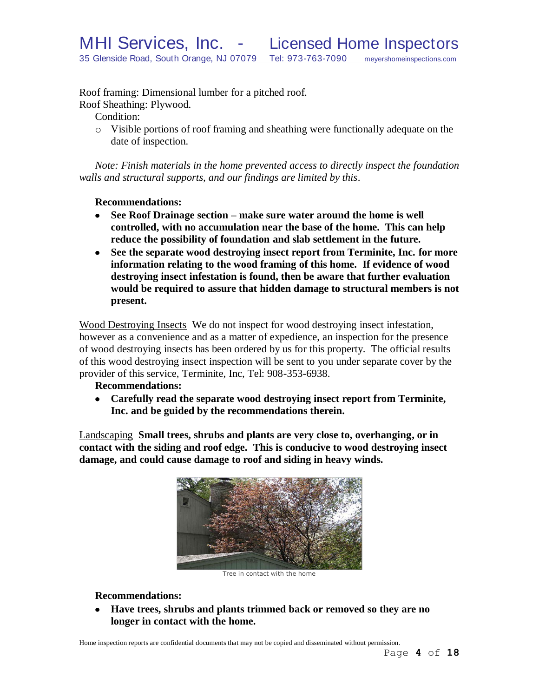Roof framing: Dimensional lumber for a pitched roof.

Roof Sheathing: Plywood.

Condition:

o Visible portions of roof framing and sheathing were functionally adequate on the date of inspection.

*Note: Finish materials in the home prevented access to directly inspect the foundation walls and structural supports, and our findings are limited by this*.

# **Recommendations:**

- **See Roof Drainage section – make sure water around the home is well controlled, with no accumulation near the base of the home. This can help reduce the possibility of foundation and slab settlement in the future.**
- **See the separate wood destroying insect report from Terminite, Inc. for more information relating to the wood framing of this home. If evidence of wood destroying insect infestation is found, then be aware that further evaluation would be required to assure that hidden damage to structural members is not present.**

Wood Destroying Insects We do not inspect for wood destroying insect infestation, however as a convenience and as a matter of expedience, an inspection for the presence of wood destroying insects has been ordered by us for this property. The official results of this wood destroying insect inspection will be sent to you under separate cover by the provider of this service, Terminite, Inc, Tel: 908-353-6938.

# **Recommendations:**

**Carefully read the separate wood destroying insect report from Terminite, Inc. and be guided by the recommendations therein.**

Landscaping **Small trees, shrubs and plants are very close to, overhanging, or in contact with the siding and roof edge. This is conducive to wood destroying insect damage, and could cause damage to roof and siding in heavy winds.**



Tree in contact with the home

# **Recommendations:**

**Have trees, shrubs and plants trimmed back or removed so they are no longer in contact with the home.**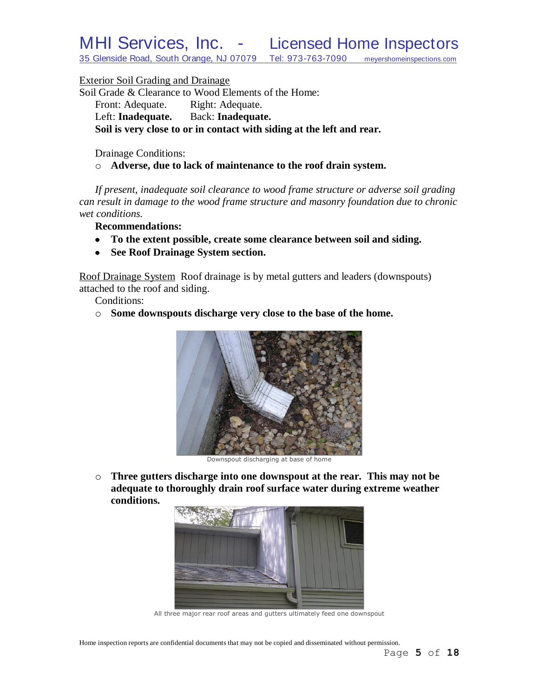MHI Services, Inc. - Licensed Home Inspectors

35 Glenside Road, South Orange, NJ 07079 Tel: 973-763-7090 meyershomeinspections.com

Exterior Soil Grading and Drainage

Soil Grade & Clearance to Wood Elements of the Home: Front: Adequate. Right: Adequate. Left: **Inadequate.** Back: **Inadequate. Soil is very close to or in contact with siding at the left and rear.**

Drainage Conditions:

o **Adverse, due to lack of maintenance to the roof drain system.**

*If present, inadequate soil clearance to wood frame structure or adverse soil grading can result in damage to the wood frame structure and masonry foundation due to chronic wet conditions.*

**Recommendations:**

- **To the extent possible, create some clearance between soil and siding.**
- **See Roof Drainage System section.**  $\bullet$

Roof Drainage System Roof drainage is by metal gutters and leaders (downspouts) attached to the roof and siding.

Conditions:

o **Some downspouts discharge very close to the base of the home.**



Downspout discharging at base of home

o **Three gutters discharge into one downspout at the rear. This may not be adequate to thoroughly drain roof surface water during extreme weather conditions.**



All three major rear roof areas and gutters ultimately feed one downspout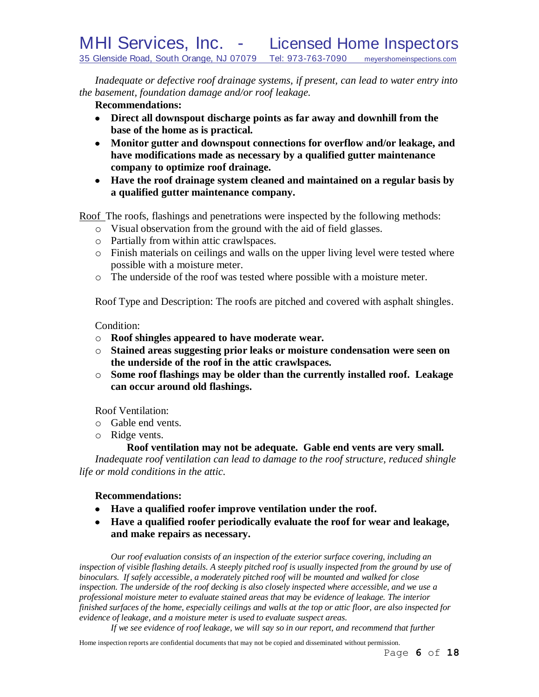*Inadequate or defective roof drainage systems, if present, can lead to water entry into the basement, foundation damage and/or roof leakage.*

# **Recommendations:**

- **Direct all downspout discharge points as far away and downhill from the base of the home as is practical.**
- **Monitor gutter and downspout connections for overflow and/or leakage, and have modifications made as necessary by a qualified gutter maintenance company to optimize roof drainage.**
- **Have the roof drainage system cleaned and maintained on a regular basis by a qualified gutter maintenance company.**

Roof The roofs, flashings and penetrations were inspected by the following methods:

- o Visual observation from the ground with the aid of field glasses.
- o Partially from within attic crawlspaces.
- o Finish materials on ceilings and walls on the upper living level were tested where possible with a moisture meter.
- o The underside of the roof was tested where possible with a moisture meter.

Roof Type and Description: The roofs are pitched and covered with asphalt shingles.

### Condition:

- o **Roof shingles appeared to have moderate wear.**
- o **Stained areas suggesting prior leaks or moisture condensation were seen on the underside of the roof in the attic crawlspaces.**
- o **Some roof flashings may be older than the currently installed roof. Leakage can occur around old flashings.**

Roof Ventilation:

- o Gable end vents.
- o Ridge vents.

# **Roof ventilation may not be adequate. Gable end vents are very small.**

*Inadequate roof ventilation can lead to damage to the roof structure, reduced shingle life or mold conditions in the attic.*

### **Recommendations:**

- **Have a qualified roofer improve ventilation under the roof.**
- **Have a qualified roofer periodically evaluate the roof for wear and leakage, and make repairs as necessary.**

*Our roof evaluation consists of an inspection of the exterior surface covering, including an inspection of visible flashing details. A steeply pitched roof is usually inspected from the ground by use of binoculars. If safely accessible, a moderately pitched roof will be mounted and walked for close inspection. The underside of the roof decking is also closely inspected where accessible, and we use a professional moisture meter to evaluate stained areas that may be evidence of leakage. The interior finished surfaces of the home, especially ceilings and walls at the top or attic floor, are also inspected for evidence of leakage, and a moisture meter is used to evaluate suspect areas.*

*If we see evidence of roof leakage, we will say so in our report, and recommend that further*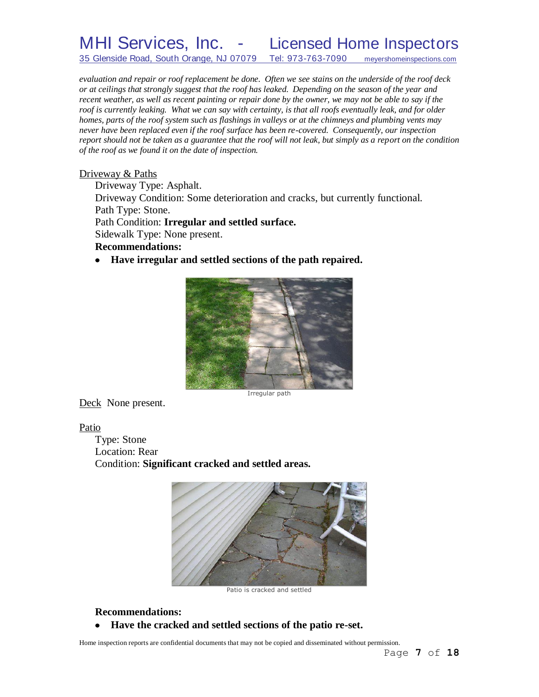MHI Services, Inc. - Licensed Home Inspectors 35 Glenside Road, South Orange, NJ 07079 Tel: 973-763-7090 meyershomeinspections.com

*evaluation and repair or roof replacement be done. Often we see stains on the underside of the roof deck or at ceilings that strongly suggest that the roof has leaked. Depending on the season of the year and recent weather, as well as recent painting or repair done by the owner, we may not be able to say if the roof is currently leaking. What we can say with certainty, is that all roofs eventually leak, and for older homes, parts of the roof system such as flashings in valleys or at the chimneys and plumbing vents may never have been replaced even if the roof surface has been re-covered. Consequently, our inspection report should not be taken as a guarantee that the roof will not leak, but simply as a report on the condition of the roof as we found it on the date of inspection.*

#### Driveway & Paths

Driveway Type: Asphalt. Driveway Condition: Some deterioration and cracks, but currently functional. Path Type: Stone. Path Condition: **Irregular and settled surface.** Sidewalk Type: None present. **Recommendations:**

**Have irregular and settled sections of the path repaired.**



Deck None present.

Patio

Type: Stone Location: Rear Condition: **Significant cracked and settled areas.**



Patio is cracked and settled

### **Recommendations:**

**Have the cracked and settled sections of the patio re-set.** $\bullet$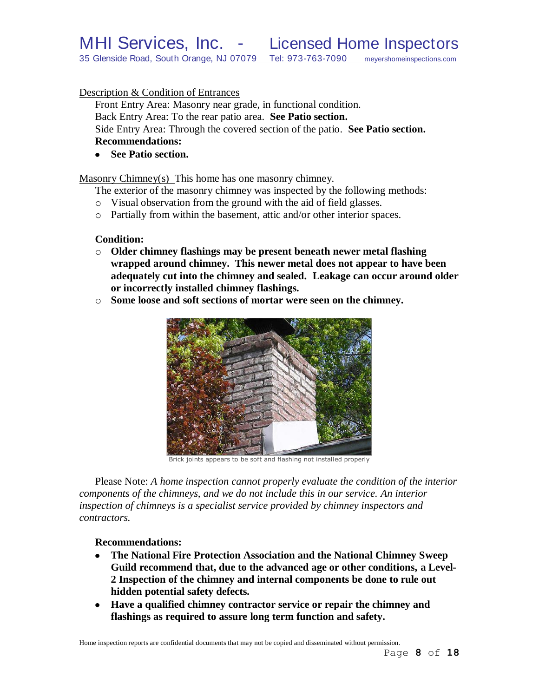# Description & Condition of Entrances

Front Entry Area: Masonry near grade, in functional condition. Back Entry Area: To the rear patio area. **See Patio section.** Side Entry Area: Through the covered section of the patio. **See Patio section. Recommendations:**

**See Patio section.**

Masonry Chimney(s) This home has one masonry chimney.

The exterior of the masonry chimney was inspected by the following methods:

- o Visual observation from the ground with the aid of field glasses.
- o Partially from within the basement, attic and/or other interior spaces.

#### **Condition:**

- o **Older chimney flashings may be present beneath newer metal flashing wrapped around chimney. This newer metal does not appear to have been adequately cut into the chimney and sealed. Leakage can occur around older or incorrectly installed chimney flashings.**
- o **Some loose and soft sections of mortar were seen on the chimney.**



Brick joints appears to be soft and flashing not installed properly

Please Note: *A home inspection cannot properly evaluate the condition of the interior components of the chimneys, and we do not include this in our service. An interior inspection of chimneys is a specialist service provided by chimney inspectors and contractors.*

#### **Recommendations:**

- $\bullet$ **The National Fire Protection Association and the National Chimney Sweep Guild recommend that, due to the advanced age or other conditions, a Level-2 Inspection of the chimney and internal components be done to rule out hidden potential safety defects***.*
- **Have a qualified chimney contractor service or repair the chimney and flashings as required to assure long term function and safety.**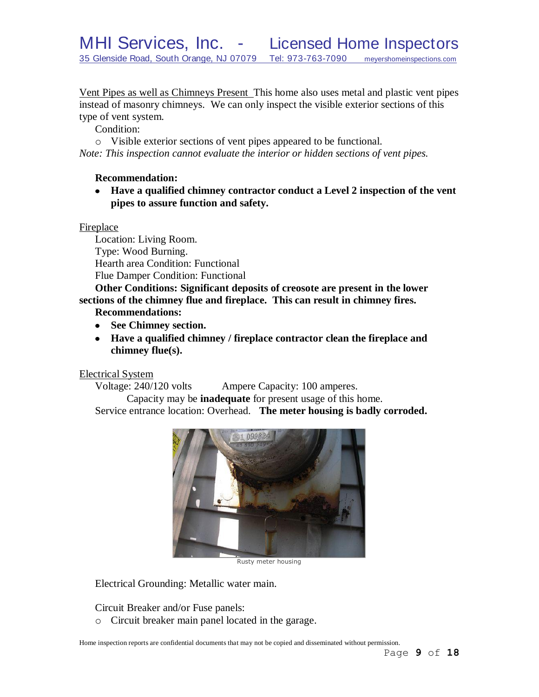Vent Pipes as well as Chimneys Present This home also uses metal and plastic vent pipes instead of masonry chimneys. We can only inspect the visible exterior sections of this type of vent system.

Condition:

o Visible exterior sections of vent pipes appeared to be functional.

*Note: This inspection cannot evaluate the interior or hidden sections of vent pipes.*

# **Recommendation:**

**Have a qualified chimney contractor conduct a Level 2 inspection of the vent pipes to assure function and safety.**

# **Fireplace**

Location: Living Room. Type: Wood Burning. Hearth area Condition: Functional Flue Damper Condition: Functional

**Other Conditions: Significant deposits of creosote are present in the lower sections of the chimney flue and fireplace. This can result in chimney fires.**

# **Recommendations:**

- **See Chimney section.**
- **Have a qualified chimney / fireplace contractor clean the fireplace and chimney flue(s).**

Electrical System

Voltage: 240/120 volts Ampere Capacity: 100 amperes.

Capacity may be **inadequate** for present usage of this home. Service entrance location: Overhead. **The meter housing is badly corroded.**



Rusty meter housing

Electrical Grounding: Metallic water main.

Circuit Breaker and/or Fuse panels:

o Circuit breaker main panel located in the garage.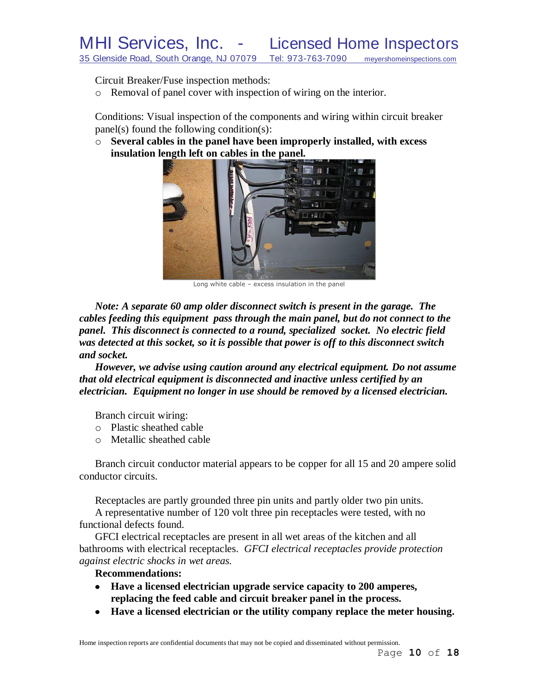Circuit Breaker/Fuse inspection methods:

o Removal of panel cover with inspection of wiring on the interior.

Conditions: Visual inspection of the components and wiring within circuit breaker panel(s) found the following condition(s):

o **Several cables in the panel have been improperly installed, with excess insulation length left on cables in the panel.**



Long white cable – excess insulation in the panel

*Note: A separate 60 amp older disconnect switch is present in the garage. The cables feeding this equipment pass through the main panel, but do not connect to the panel. This disconnect is connected to a round, specialized socket. No electric field was detected at this socket, so it is possible that power is off to this disconnect switch and socket.* 

*However, we advise using caution around any electrical equipment. Do not assume that old electrical equipment is disconnected and inactive unless certified by an electrician. Equipment no longer in use should be removed by a licensed electrician.*

Branch circuit wiring:

- o Plastic sheathed cable
- o Metallic sheathed cable

Branch circuit conductor material appears to be copper for all 15 and 20 ampere solid conductor circuits.

Receptacles are partly grounded three pin units and partly older two pin units. A representative number of 120 volt three pin receptacles were tested, with no functional defects found.

GFCI electrical receptacles are present in all wet areas of the kitchen and all bathrooms with electrical receptacles. *GFCI electrical receptacles provide protection against electric shocks in wet areas.*

### **Recommendations:**

- **Have a licensed electrician upgrade service capacity to 200 amperes, replacing the feed cable and circuit breaker panel in the process.**
- **Have a licensed electrician or the utility company replace the meter housing.**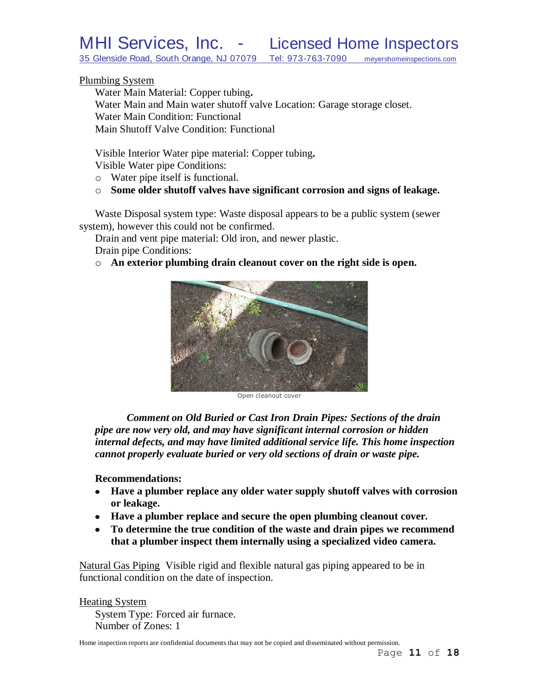35 Glenside Road, South Orange, NJ 07079 Tel: 973-763-7090 meyershomeinspections.com

#### Plumbing System

Water Main Material: Copper tubing**.** Water Main and Main water shutoff valve Location: Garage storage closet. Water Main Condition: Functional Main Shutoff Valve Condition: Functional

Visible Interior Water pipe material: Copper tubing**.** Visible Water pipe Conditions:

- o Water pipe itself is functional.
- o **Some older shutoff valves have significant corrosion and signs of leakage.**

Waste Disposal system type: Waste disposal appears to be a public system (sewer system), however this could not be confirmed.

Drain and vent pipe material: Old iron, and newer plastic.

Drain pipe Conditions:

o **An exterior plumbing drain cleanout cover on the right side is open.**



Open cleanout cover

*Comment on Old Buried or Cast Iron Drain Pipes: Sections of the drain pipe are now very old, and may have significant internal corrosion or hidden internal defects, and may have limited additional service life. This home inspection cannot properly evaluate buried or very old sections of drain or waste pipe.*

#### **Recommendations:**

- **Have a plumber replace any older water supply shutoff valves with corrosion or leakage.**
- **Have a plumber replace and secure the open plumbing cleanout cover.**
- **To determine the true condition of the waste and drain pipes we recommend that a plumber inspect them internally using a specialized video camera.**

Natural Gas Piping Visible rigid and flexible natural gas piping appeared to be in functional condition on the date of inspection.

Heating System

System Type: Forced air furnace. Number of Zones: 1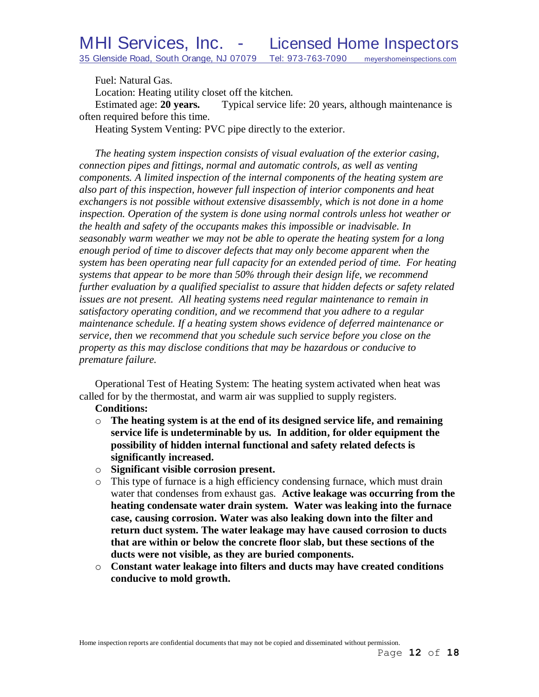Fuel: Natural Gas.

Location: Heating utility closet off the kitchen.

Estimated age: **20 years.** Typical service life: 20 years, although maintenance is often required before this time.

Heating System Venting: PVC pipe directly to the exterior.

*The heating system inspection consists of visual evaluation of the exterior casing, connection pipes and fittings, normal and automatic controls, as well as venting components. A limited inspection of the internal components of the heating system are also part of this inspection, however full inspection of interior components and heat exchangers is not possible without extensive disassembly, which is not done in a home inspection. Operation of the system is done using normal controls unless hot weather or the health and safety of the occupants makes this impossible or inadvisable. In seasonably warm weather we may not be able to operate the heating system for a long enough period of time to discover defects that may only become apparent when the system has been operating near full capacity for an extended period of time. For heating systems that appear to be more than 50% through their design life, we recommend further evaluation by a qualified specialist to assure that hidden defects or safety related issues are not present. All heating systems need regular maintenance to remain in satisfactory operating condition, and we recommend that you adhere to a regular maintenance schedule. If a heating system shows evidence of deferred maintenance or service, then we recommend that you schedule such service before you close on the property as this may disclose conditions that may be hazardous or conducive to premature failure.*

Operational Test of Heating System: The heating system activated when heat was called for by the thermostat, and warm air was supplied to supply registers.

#### **Conditions:**

- o **The heating system is at the end of its designed service life, and remaining service life is undeterminable by us. In addition, for older equipment the possibility of hidden internal functional and safety related defects is significantly increased.**
- o **Significant visible corrosion present.**
- o This type of furnace is a high efficiency condensing furnace, which must drain water that condenses from exhaust gas. **Active leakage was occurring from the heating condensate water drain system. Water was leaking into the furnace case, causing corrosion. Water was also leaking down into the filter and return duct system. The water leakage may have caused corrosion to ducts that are within or below the concrete floor slab, but these sections of the ducts were not visible, as they are buried components.**
- o **Constant water leakage into filters and ducts may have created conditions conducive to mold growth.**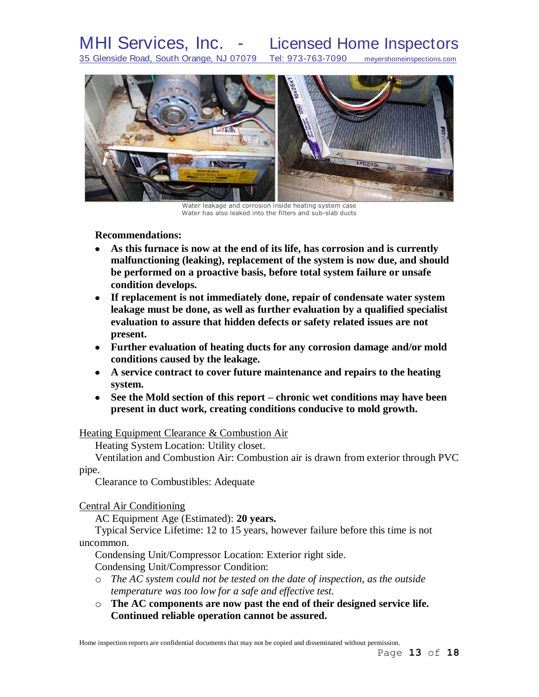# MHI Services, Inc. - Licensed Home Inspectors

35 Glenside Road, South Orange, NJ 07079 Tel: 973-763-7090 meyershomeinspections.com



Water leakage and corrosion inside heating system case Water has also leaked into the filters and sub-slab ducts

#### **Recommendations:**

- **As this furnace is now at the end of its life, has corrosion and is currently malfunctioning (leaking), replacement of the system is now due, and should be performed on a proactive basis, before total system failure or unsafe condition develops.**
- **If replacement is not immediately done, repair of condensate water system leakage must be done, as well as further evaluation by a qualified specialist evaluation to assure that hidden defects or safety related issues are not present.**
- **Further evaluation of heating ducts for any corrosion damage and/or mold conditions caused by the leakage.**
- **A service contract to cover future maintenance and repairs to the heating system.**
- **See the Mold section of this report – chronic wet conditions may have been present in duct work, creating conditions conducive to mold growth.**

#### Heating Equipment Clearance & Combustion Air

Heating System Location: Utility closet.

Ventilation and Combustion Air: Combustion air is drawn from exterior through PVC pipe.

Clearance to Combustibles: Adequate

Central Air Conditioning

AC Equipment Age (Estimated): **20 years.**

Typical Service Lifetime: 12 to 15 years, however failure before this time is not uncommon.

Condensing Unit/Compressor Location: Exterior right side.

Condensing Unit/Compressor Condition:

- o *The AC system could not be tested on the date of inspection, as the outside temperature was too low for a safe and effective test.*
- o **The AC components are now past the end of their designed service life. Continued reliable operation cannot be assured.**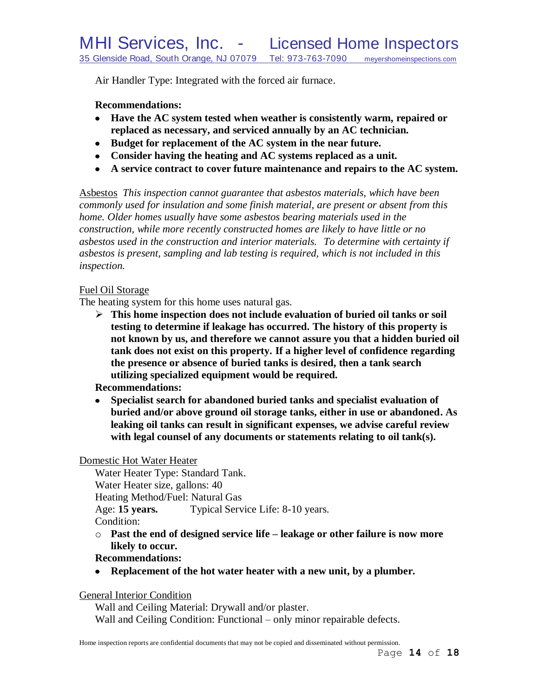Air Handler Type: Integrated with the forced air furnace.

# **Recommendations:**

- **Have the AC system tested when weather is consistently warm, repaired or replaced as necessary, and serviced annually by an AC technician.**
- **Budget for replacement of the AC system in the near future.**
- **Consider having the heating and AC systems replaced as a unit.**
- **A service contract to cover future maintenance and repairs to the AC system.**

Asbestos *This inspection cannot guarantee that asbestos materials, which have been commonly used for insulation and some finish material, are present or absent from this home. Older homes usually have some asbestos bearing materials used in the construction, while more recently constructed homes are likely to have little or no asbestos used in the construction and interior materials. To determine with certainty if asbestos is present, sampling and lab testing is required, which is not included in this inspection.* 

# Fuel Oil Storage

The heating system for this home uses natural gas.

 **This home inspection does not include evaluation of buried oil tanks or soil testing to determine if leakage has occurred. The history of this property is not known by us, and therefore we cannot assure you that a hidden buried oil tank does not exist on this property. If a higher level of confidence regarding the presence or absence of buried tanks is desired, then a tank search utilizing specialized equipment would be required.**

# **Recommendations:**

**Specialist search for abandoned buried tanks and specialist evaluation of**   $\bullet$ **buried and/or above ground oil storage tanks, either in use or abandoned. As leaking oil tanks can result in significant expenses, we advise careful review with legal counsel of any documents or statements relating to oil tank(s).** 

### Domestic Hot Water Heater

Water Heater Type: Standard Tank. Water Heater size, gallons: 40 Heating Method/Fuel: Natural Gas Age: **15 years.** Typical Service Life: 8-10 years. Condition:

o **Past the end of designed service life – leakage or other failure is now more likely to occur.**

# **Recommendations:**

**Replacement of the hot water heater with a new unit, by a plumber.**

General Interior Condition

Wall and Ceiling Material: Drywall and/or plaster. Wall and Ceiling Condition: Functional – only minor repairable defects.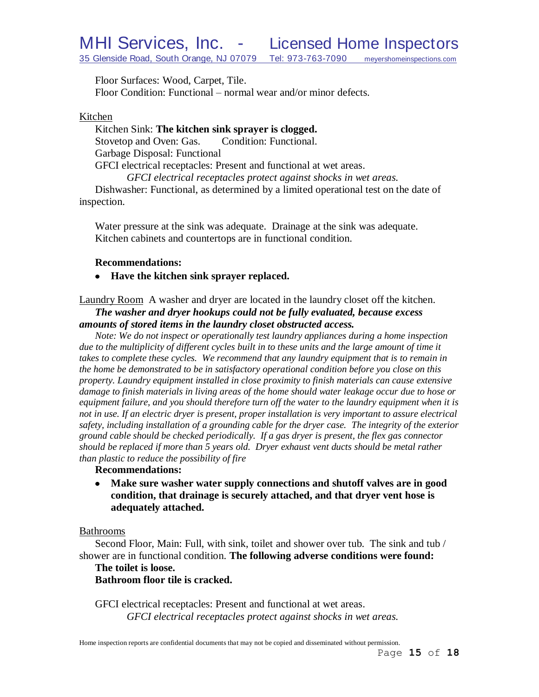Floor Surfaces: Wood, Carpet, Tile. Floor Condition: Functional – normal wear and/or minor defects.

#### Kitchen

Kitchen Sink: **The kitchen sink sprayer is clogged.** Stovetop and Oven: Gas. Condition: Functional. Garbage Disposal: Functional GFCI electrical receptacles: Present and functional at wet areas. *GFCI electrical receptacles protect against shocks in wet areas.* Dishwasher: Functional, as determined by a limited operational test on the date of

inspection.

Water pressure at the sink was adequate. Drainage at the sink was adequate. Kitchen cabinets and countertops are in functional condition.

#### **Recommendations:**

**Have the kitchen sink sprayer replaced.**

Laundry Room A washer and dryer are located in the laundry closet off the kitchen. *The washer and dryer hookups could not be fully evaluated, because excess amounts of stored items in the laundry closet obstructed access.*

*Note: We do not inspect or operationally test laundry appliances during a home inspection*  due to the multiplicity of different cycles built in to these units and the large amount of time it *takes to complete these cycles. We recommend that any laundry equipment that is to remain in the home be demonstrated to be in satisfactory operational condition before you close on this property. Laundry equipment installed in close proximity to finish materials can cause extensive damage to finish materials in living areas of the home should water leakage occur due to hose or equipment failure, and you should therefore turn off the water to the laundry equipment when it is not in use. If an electric dryer is present, proper installation is very important to assure electrical safety, including installation of a grounding cable for the dryer case. The integrity of the exterior ground cable should be checked periodically. If a gas dryer is present, the flex gas connector should be replaced if more than 5 years old. Dryer exhaust vent ducts should be metal rather than plastic to reduce the possibility of fire*

# **Recommendations:**

 $\bullet$ **Make sure washer water supply connections and shutoff valves are in good condition, that drainage is securely attached, and that dryer vent hose is adequately attached.**

#### Bathrooms

Second Floor, Main: Full, with sink, toilet and shower over tub. The sink and tub / shower are in functional condition. **The following adverse conditions were found:**

#### **The toilet is loose.**

**Bathroom floor tile is cracked.**

GFCI electrical receptacles: Present and functional at wet areas. *GFCI electrical receptacles protect against shocks in wet areas.*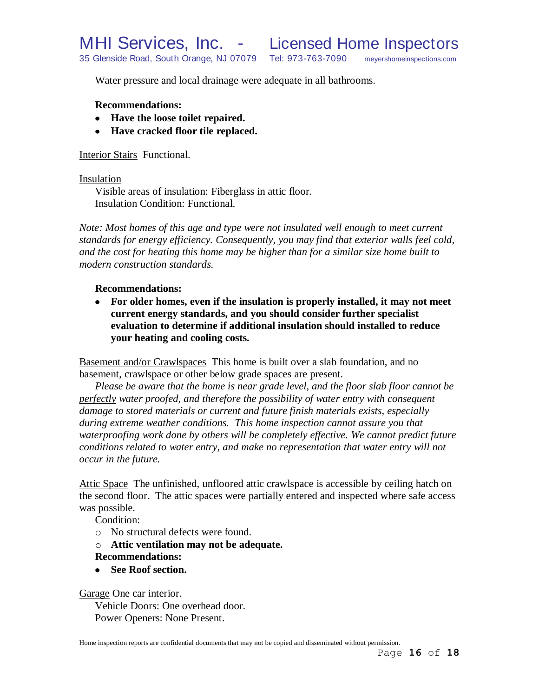Water pressure and local drainage were adequate in all bathrooms.

#### **Recommendations:**

- **Have the loose toilet repaired.**
- **Have cracked floor tile replaced.**

Interior Stairs Functional.

#### Insulation

Visible areas of insulation: Fiberglass in attic floor. Insulation Condition: Functional.

*Note: Most homes of this age and type were not insulated well enough to meet current standards for energy efficiency. Consequently, you may find that exterior walls feel cold, and the cost for heating this home may be higher than for a similar size home built to modern construction standards.*

### **Recommendations:**

**For older homes, even if the insulation is properly installed, it may not meet current energy standards, and you should consider further specialist evaluation to determine if additional insulation should installed to reduce your heating and cooling costs.**

Basement and/or Crawlspaces This home is built over a slab foundation, and no basement, crawlspace or other below grade spaces are present.

*Please be aware that the home is near grade level, and the floor slab floor cannot be perfectly water proofed, and therefore the possibility of water entry with consequent damage to stored materials or current and future finish materials exists, especially during extreme weather conditions. This home inspection cannot assure you that waterproofing work done by others will be completely effective. We cannot predict future conditions related to water entry, and make no representation that water entry will not occur in the future.*

Attic Space The unfinished, unfloored attic crawlspace is accessible by ceiling hatch on the second floor. The attic spaces were partially entered and inspected where safe access was possible.

Condition:

- o No structural defects were found.
- o **Attic ventilation may not be adequate. Recommendations:**
- **See Roof section.**

Garage One car interior.

Vehicle Doors: One overhead door. Power Openers: None Present.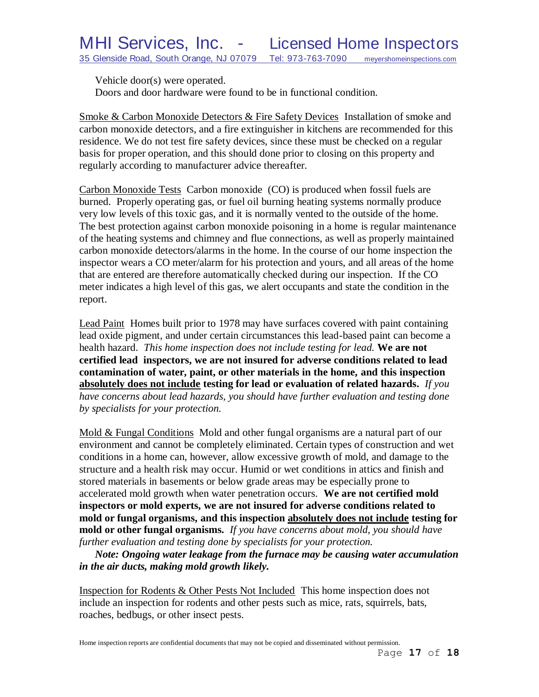Vehicle door(s) were operated.

Doors and door hardware were found to be in functional condition.

Smoke & Carbon Monoxide Detectors & Fire Safety Devices Installation of smoke and carbon monoxide detectors, and a fire extinguisher in kitchens are recommended for this residence. We do not test fire safety devices, since these must be checked on a regular basis for proper operation, and this should done prior to closing on this property and regularly according to manufacturer advice thereafter.

Carbon Monoxide Tests Carbon monoxide (CO) is produced when fossil fuels are burned. Properly operating gas, or fuel oil burning heating systems normally produce very low levels of this toxic gas, and it is normally vented to the outside of the home. The best protection against carbon monoxide poisoning in a home is regular maintenance of the heating systems and chimney and flue connections, as well as properly maintained carbon monoxide detectors/alarms in the home. In the course of our home inspection the inspector wears a CO meter/alarm for his protection and yours, and all areas of the home that are entered are therefore automatically checked during our inspection. If the CO meter indicates a high level of this gas, we alert occupants and state the condition in the report.

Lead Paint Homes built prior to 1978 may have surfaces covered with paint containing lead oxide pigment, and under certain circumstances this lead-based paint can become a health hazard. *This home inspection does not include testing for lead.* **We are not certified lead inspectors, we are not insured for adverse conditions related to lead contamination of water, paint, or other materials in the home, and this inspection absolutely does not include testing for lead or evaluation of related hazards.** *If you have concerns about lead hazards, you should have further evaluation and testing done by specialists for your protection.*

Mold & Fungal Conditions Mold and other fungal organisms are a natural part of our environment and cannot be completely eliminated. Certain types of construction and wet conditions in a home can, however, allow excessive growth of mold, and damage to the structure and a health risk may occur. Humid or wet conditions in attics and finish and stored materials in basements or below grade areas may be especially prone to accelerated mold growth when water penetration occurs. **We are not certified mold inspectors or mold experts, we are not insured for adverse conditions related to mold or fungal organisms, and this inspection absolutely does not include testing for mold or other fungal organisms.** *If you have concerns about mold, you should have further evaluation and testing done by specialists for your protection.*

*Note: Ongoing water leakage from the furnace may be causing water accumulation in the air ducts, making mold growth likely.*

Inspection for Rodents & Other Pests Not Included This home inspection does not include an inspection for rodents and other pests such as mice, rats, squirrels, bats, roaches, bedbugs, or other insect pests.